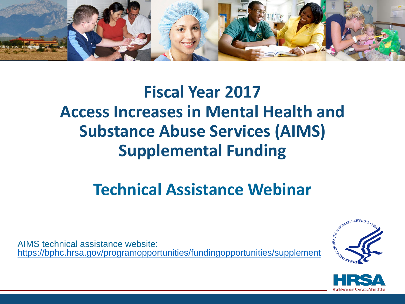

### **Fiscal Year 2017 Access Increases in Mental Health and Substance Abuse Services (AIMS) Supplemental Funding**

### **Technical Assistance Webinar**

AIMS technical assistance website: <https://bphc.hrsa.gov/programopportunities/fundingopportunities/supplement>



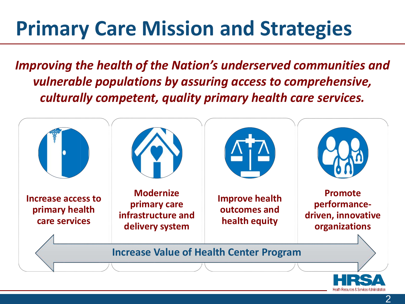# **Primary Care Mission and Strategies**

*Improving the health of the Nation's underserved communities and vulnerable populations by assuring access to comprehensive, culturally competent, quality primary health care services.* 

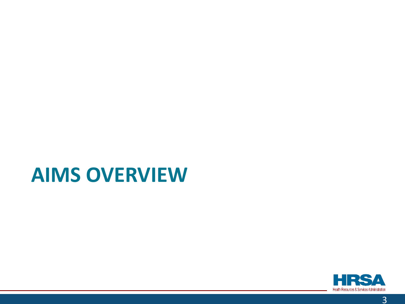### **AIMS OVERVIEW**

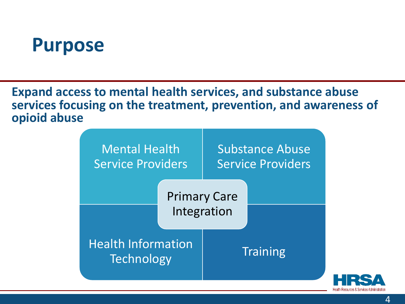### **Purpose**

**Expand access to mental health services, and substance abuse services focusing on the treatment, prevention, and awareness of opioid abuse** 

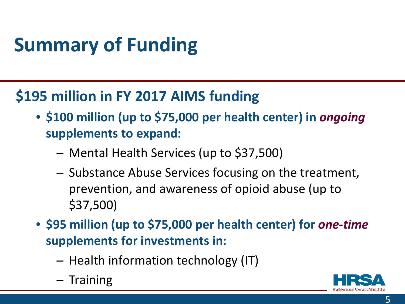# **Summary of Funding**

### **\$195 million in FY 2017 AIMS funding**

- **\$100 million (up to \$75,000 per health center) in** *ongoing* **supplements to expand:**
	- ⁃ Mental Health Services (up to \$37,500)
	- ⁃ Substance Abuse Services focusing on the treatment, prevention, and awareness of opioid abuse (up to \$37,500)
- **\$95 million (up to \$75,000 per health center) for** *one-time* **supplements for investments in:**
	- ⁃ Health information technology (IT)
	- ⁃ Training

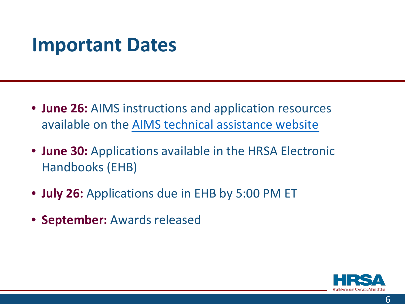### **Important Dates**

- **June 26:** AIMS instructions and application resources available on the [AIMS technical assistance website](https://bphc.hrsa.gov/programopportunities/fundingopportunities/supplement)
- **June 30:** Applications available in the HRSA Electronic Handbooks (EHB)
- **July 26:** Applications due in EHB by 5:00 PM ET
- **September:** Awards released

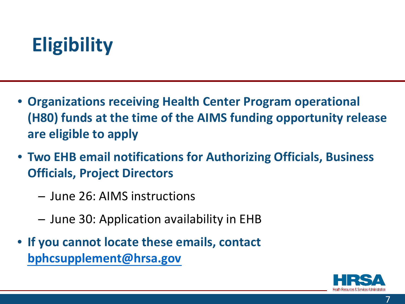# **Eligibility**

- **Organizations receiving Health Center Program operational (H80) funds at the time of the AIMS funding opportunity release are eligible to apply**
- **Two EHB email notifications for Authorizing Officials, Business Officials, Project Directors**
	- ⁃ June 26: AIMS instructions
	- ⁃ June 30: Application availability in EHB
- **If you cannot locate these emails, contact [bphcsupplement@hrsa.gov](mailto:bphcsupplement@hrsa.gov)**

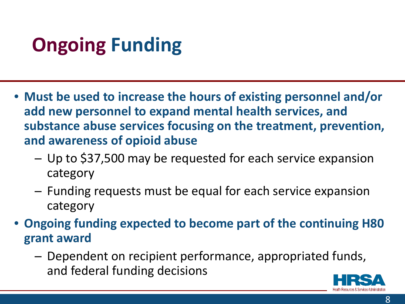# **Ongoing Funding**

- **Must be used to increase the hours of existing personnel and/or add new personnel to expand mental health services, and substance abuse services focusing on the treatment, prevention, and awareness of opioid abuse**
	- ⁃ Up to \$37,500 may be requested for each service expansion category
	- ⁃ Funding requests must be equal for each service expansion category
- **Ongoing funding expected to become part of the continuing H80 grant award**
	- ⁃ Dependent on recipient performance, appropriated funds, and federal funding decisions

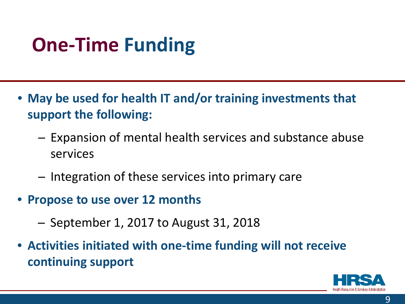# **One-Time Funding**

- **May be used for health IT and/or training investments that support the following:**
	- ⁃ Expansion of mental health services and substance abuse services
	- ⁃ Integration of these services into primary care
- **Propose to use over 12 months**
	- $-$  September 1, 2017 to August 31, 2018
- **Activities initiated with one-time funding will not receive continuing support**

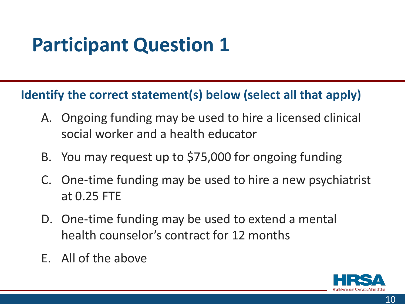## **Participant Question 1**

#### **Identify the correct statement(s) below (select all that apply)**

- A. Ongoing funding may be used to hire a licensed clinical social worker and a health educator
- B. You may request up to \$75,000 for ongoing funding
- C. One-time funding may be used to hire a new psychiatrist at 0.25 FTE
- D. One-time funding may be used to extend a mental health counselor's contract for 12 months
- E. All of the above

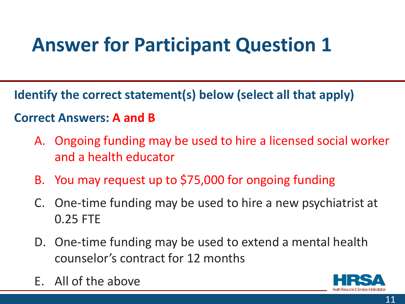# **Answer for Participant Question 1**

**Identify the correct statement(s) below (select all that apply)** 

#### **Correct Answers: A and B**

- A. Ongoing funding may be used to hire a licensed social worker and a health educator
- B. You may request up to \$75,000 for ongoing funding
- C. One-time funding may be used to hire a new psychiatrist at 0.25 FTE
- D. One-time funding may be used to extend a mental health counselor's contract for 12 months
- E. All of the above

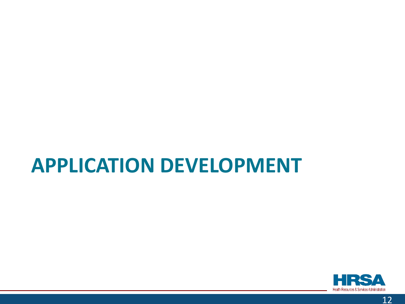### **APPLICATION DEVELOPMENT**

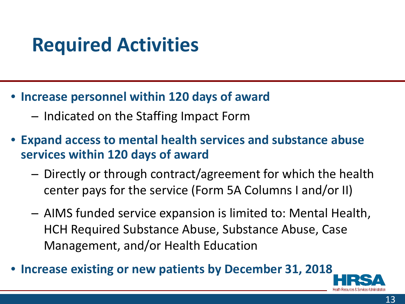## **Required Activities**

- **Increase personnel within 120 days of award**
	- ⁃ Indicated on the Staffing Impact Form
- **Expand access to mental health services and substance abuse services within 120 days of award**
	- ⁃ Directly or through contract/agreement for which the health center pays for the service (Form 5A Columns I and/or II)
	- ⁃ AIMS funded service expansion is limited to: Mental Health, HCH Required Substance Abuse, Substance Abuse, Case Management, and/or Health Education
- **Increase existing or new patients by December 31, 2018**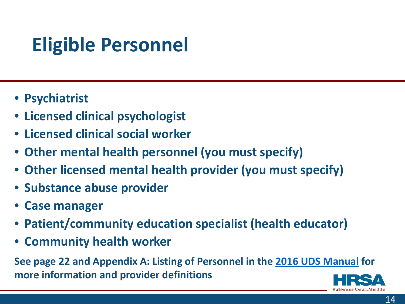# **Eligible Personnel**

- **Psychiatrist**
- **Licensed clinical psychologist**
- **Licensed clinical social worker**
- **Other mental health personnel (you must specify)**
- **Other licensed mental health provider (you must specify)**
- **Substance abuse provider**
- **Case manager**
- **Patient/community education specialist (health educator)**
- **Community health worker**

**See page 22 and Appendix A: Listing of Personnel in the [2016 UDS Manual](https://bphc.hrsa.gov/datareporting/reporting/2016udsreportingmanual.pdf) for more information and provider definitions** 

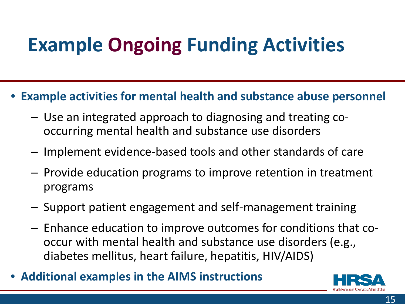# **Example Ongoing Funding Activities**

- **Example activities for mental health and substance abuse personnel**
	- ⁃ Use an integrated approach to diagnosing and treating cooccurring mental health and substance use disorders
	- ⁃ Implement evidence-based tools and other standards of care
	- ⁃ Provide education programs to improve retention in treatment programs
	- ⁃ Support patient engagement and self-management training
	- ⁃ Enhance education to improve outcomes for conditions that cooccur with mental health and substance use disorders (e.g., diabetes mellitus, heart failure, hepatitis, HIV/AIDS)
- **Additional examples in the AIMS instructions**

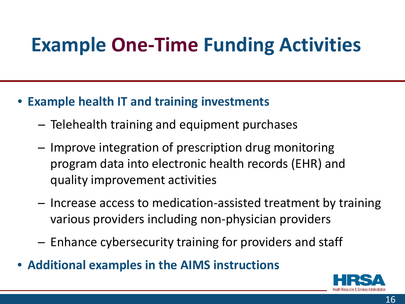# **Example One-Time Funding Activities**

- **Example health IT and training investments**
	- ⁃ Telehealth training and equipment purchases
	- ⁃ Improve integration of prescription drug monitoring program data into electronic health records (EHR) and quality improvement activities
	- ⁃ Increase access to medication-assisted treatment by training various providers including non-physician providers
	- ⁃ Enhance cybersecurity training for providers and staff
- **Additional examples in the AIMS instructions**

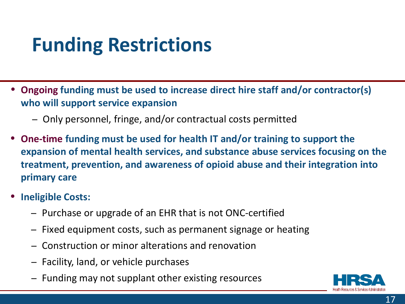## **Funding Restrictions**

- **Ongoing funding must be used to increase direct hire staff and/or contractor(s) who will support service expansion**
	- ⁃ Only personnel, fringe, and/or contractual costs permitted
- **One-time funding must be used for health IT and/or training to support the expansion of mental health services, and substance abuse services focusing on the treatment, prevention, and awareness of opioid abuse and their integration into primary care**
- **Ineligible Costs:**
	- ⁃ Purchase or upgrade of an EHR that is not ONC-certified
	- ⁃ Fixed equipment costs, such as permanent signage or heating
	- ⁃ Construction or minor alterations and renovation
	- ⁃ Facility, land, or vehicle purchases
	- ⁃ Funding may not supplant other existing resources

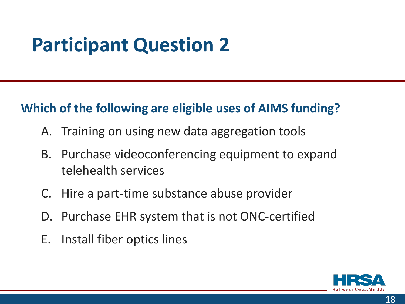## **Participant Question 2**

#### **Which of the following are eligible uses of AIMS funding?**

- A. Training on using new data aggregation tools
- B. Purchase videoconferencing equipment to expand telehealth services
- C. Hire a part-time substance abuse provider
- D. Purchase EHR system that is not ONC-certified
- E. Install fiber optics lines

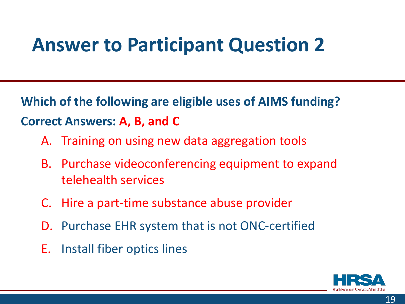### **Answer to Participant Question 2**

**Which of the following are eligible uses of AIMS funding? Correct Answers: A, B, and C** 

- A. Training on using new data aggregation tools
- B. Purchase videoconferencing equipment to expand telehealth services
- C. Hire a part-time substance abuse provider
- D. Purchase EHR system that is not ONC-certified
- E. Install fiber optics lines

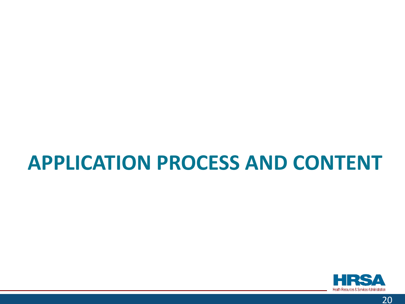## **APPLICATION PROCESS AND CONTENT**

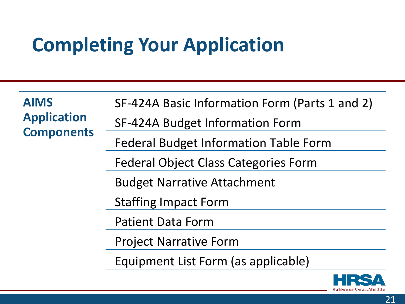# **Completing Your Application**

| <b>AIMS</b><br><b>Application</b><br><b>Components</b> | SF-424A Basic Information Form (Parts 1 and 2) |
|--------------------------------------------------------|------------------------------------------------|
|                                                        | SF-424A Budget Information Form                |
|                                                        | <b>Federal Budget Information Table Form</b>   |
|                                                        | <b>Federal Object Class Categories Form</b>    |
|                                                        | <b>Budget Narrative Attachment</b>             |
|                                                        | <b>Staffing Impact Form</b>                    |
|                                                        | <b>Patient Data Form</b>                       |
|                                                        | <b>Project Narrative Form</b>                  |
|                                                        | Equipment List Form (as applicable)            |
|                                                        |                                                |

Health Resources & Services Administration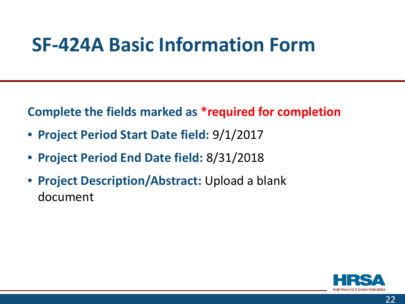### **SF-424A Basic Information Form**

**Complete the fields marked as \*required for completion** 

- **Project Period Start Date field:** 9/1/2017
- **Project Period End Date field:** 8/31/2018
- **Project Description/Abstract:** Upload a blank document

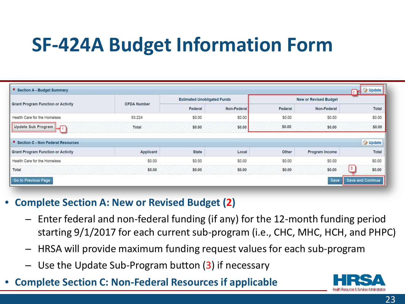# **SF-424A Budget Information Form**

| <b>Grant Program Function or Activity</b> | <b>CFDA Number</b> | <b>Estimated Unobligated Funds</b> |             | <b>New or Revised Budget</b> |                |                           |
|-------------------------------------------|--------------------|------------------------------------|-------------|------------------------------|----------------|---------------------------|
|                                           |                    | Federal                            | Non-Federal | Federal                      | Non-Federal    | Total                     |
| Health Care for the Homeless              | 93.224             | \$0.00                             | \$0.00      | \$0.00                       | \$0.00         | \$0.00                    |
| Update Sub Program                        | Total              | \$0.00                             | \$0.00      | \$0.00                       | \$0.00         | \$0.00                    |
| * Section C - Non Federal Resources       |                    |                                    |             |                              |                | <b>J</b> Update           |
| <b>Grant Program Function or Activity</b> | Applicant          | <b>State</b>                       | Local       | Other                        | Program Income | Total                     |
| Health Care for the Homeless              | \$0.00             | \$0.00                             | \$0.00      | \$0.00                       | \$0.00         | \$0.00                    |
| Total                                     | \$0.00             | \$0.00                             | \$0.00      | \$0.00                       | \$0.00         | $\vert 3 \vert$<br>\$0.00 |

#### • **Complete Section A: New or Revised Budget (2)**

- ⁃ Enter federal and non-federal funding (if any) for the 12-month funding period starting 9/1/2017 for each current sub-program (i.e., CHC, MHC, HCH, and PHPC)
- ⁃ HRSA will provide maximum funding request values for each sub-program
- Use the Update Sub-Program button  $(3)$  if necessary
- **Complete Section C: Non-Federal Resources if applicable**

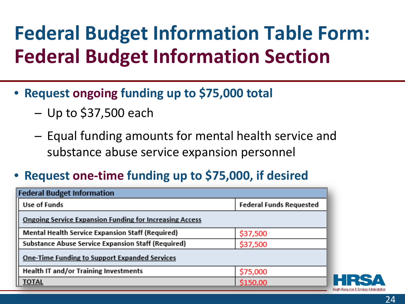# **Federal Budget Information Table Form: Federal Budget Information Section**

- **Request ongoing funding up to \$75,000 total**
	- $-$  Up to \$37,500 each
	- ⁃ Equal funding amounts for mental health service and substance abuse service expansion personnel
- **Request one-time funding up to \$75,000, if desired**

| <b>Federal Budget Information</b>                              |                                |  |  |  |
|----------------------------------------------------------------|--------------------------------|--|--|--|
| Use of Funds                                                   | <b>Federal Funds Requested</b> |  |  |  |
| <b>Ongoing Service Expansion Funding for Increasing Access</b> |                                |  |  |  |
| <b>Mental Health Service Expansion Staff (Required)</b>        | \$37,500                       |  |  |  |
| <b>Substance Abuse Service Expansion Staff (Required)</b>      | \$37,500                       |  |  |  |
| <b>One-Time Funding to Support Expanded Services</b>           |                                |  |  |  |
| Health IT and/or Training Investments                          | \$75,000                       |  |  |  |
| <b>TOTAL</b>                                                   | \$150,00                       |  |  |  |

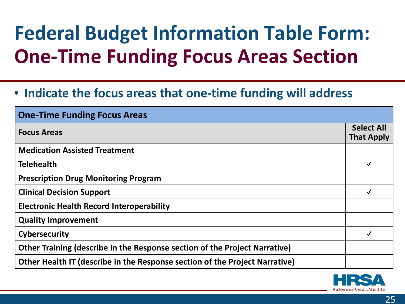# **Federal Budget Information Table Form: One-Time Funding Focus Areas Section**

#### • **Indicate the focus areas that one-time funding will address**

| <b>One-Time Funding Focus Areas</b>                                         |                                        |
|-----------------------------------------------------------------------------|----------------------------------------|
| <b>Focus Areas</b>                                                          | <b>Select All</b><br><b>That Apply</b> |
| <b>Medication Assisted Treatment</b>                                        |                                        |
| <b>Telehealth</b>                                                           |                                        |
| <b>Prescription Drug Monitoring Program</b>                                 |                                        |
| <b>Clinical Decision Support</b>                                            | $\checkmark$                           |
| <b>Electronic Health Record Interoperability</b>                            |                                        |
| <b>Quality Improvement</b>                                                  |                                        |
| Cybersecurity                                                               |                                        |
| Other Training (describe in the Response section of the Project Narrative)  |                                        |
| Other Health IT (describe in the Response section of the Project Narrative) |                                        |

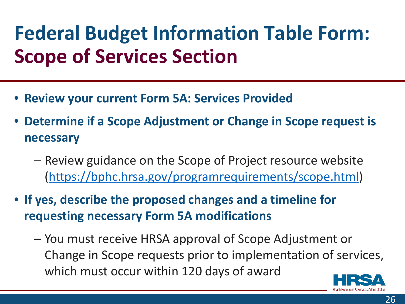# **Federal Budget Information Table Form: Scope of Services Section**

- **Review your current Form 5A: Services Provided**
- **Determine if a Scope Adjustment or Change in Scope request is necessary**
	- Review guidance on the Scope of Project resource website (<https://bphc.hrsa.gov/programrequirements/scope.html>)
- **If yes, describe the proposed changes and a timeline for requesting necessary Form 5A modifications**
	- You must receive HRSA approval of Scope Adjustment or Change in Scope requests prior to implementation of services, which must occur within 120 days of award

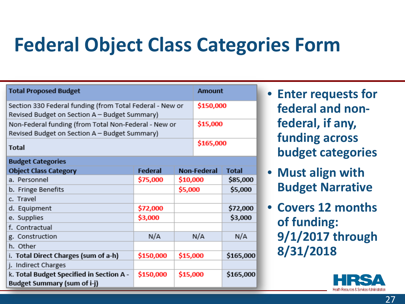# **Federal Object Class Categories Form**

| <b>Total Proposed Budget</b>                                                                                      |           |          |                      | <b>Amount</b> |  |
|-------------------------------------------------------------------------------------------------------------------|-----------|----------|----------------------|---------------|--|
| Section 330 Federal funding (from Total Federal - New or<br>Revised Budget on Section A - Budget Summary)         |           |          |                      | \$150,000     |  |
| \$15,000<br>Non-Federal funding (from Total Non-Federal - New or<br>Revised Budget on Section A - Budget Summary) |           |          |                      |               |  |
| <b>Total</b>                                                                                                      |           |          | \$165,000            |               |  |
| <b>Budget Categories</b>                                                                                          |           |          |                      |               |  |
| <b>Object Class Category</b>                                                                                      | Federal   |          | <b>Non-Federal</b>   | <b>Total</b>  |  |
| a. Personnel                                                                                                      | \$75,000  |          | \$10,000<br>\$85,000 |               |  |
| b. Fringe Benefits                                                                                                |           | \$5,000  |                      | \$5,000       |  |
| c. Travel                                                                                                         |           |          |                      |               |  |
| d. Equipment                                                                                                      | \$72,000  |          |                      | \$72,000      |  |
| e. Supplies                                                                                                       | \$3,000   |          |                      | \$3,000       |  |
| f. Contractual                                                                                                    |           |          |                      |               |  |
| g. Construction                                                                                                   | N/A       |          | N/A                  | N/A           |  |
| h. Other                                                                                                          |           |          |                      |               |  |
| i. Total Direct Charges (sum of a-h)                                                                              | \$150,000 | \$15,000 |                      | \$165,000     |  |
| j. Indirect Charges                                                                                               |           |          |                      |               |  |
| k. Total Budget Specified in Section A -                                                                          | \$150,000 | \$15,000 |                      | \$165,000     |  |
| <b>Budget Summary (sum of i-j)</b>                                                                                |           |          |                      |               |  |

- **Enter requests for federal and nonfederal, if any, funding across budget categories**
- **Must align with Budget Narrative**
- **Covers 12 months of funding: 9/1/2017 through 8/31/2018**

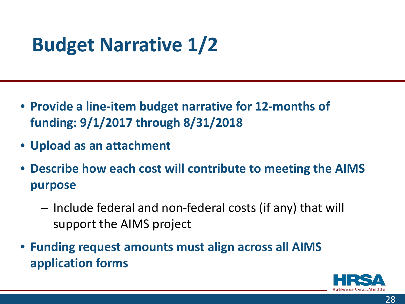# **Budget Narrative 1/2**

- **Provide a line-item budget narrative for 12-months of funding: 9/1/2017 through 8/31/2018**
- **Upload as an attachment**
- **Describe how each cost will contribute to meeting the AIMS purpose**
	- ⁃ Include federal and non-federal costs (if any) that will support the AIMS project
- **Funding request amounts must align across all AIMS application forms**

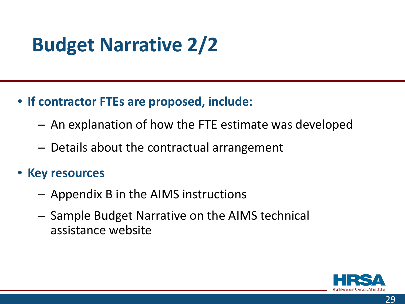# **Budget Narrative 2/2**

- **If contractor FTEs are proposed, include:**
	- ⁃ An explanation of how the FTE estimate was developed
	- ⁃ Details about the contractual arrangement
- **Key resources**
	- ⁃ Appendix B in the AIMS instructions
	- ⁃ Sample Budget Narrative on the AIMS technical assistance website

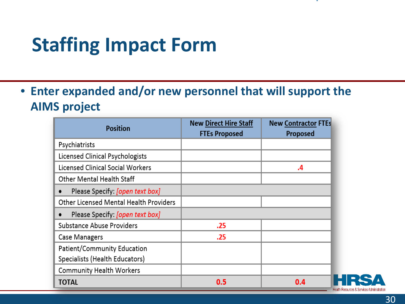### **Staffing Impact Form**

• **Enter expanded and/or new personnel that will support the AIMS project**

| <b>Position</b>                              | <b>New Direct Hire Staff</b><br><b>FTEs Proposed</b> | <b>New Contractor FTEs</b><br>Proposed |
|----------------------------------------------|------------------------------------------------------|----------------------------------------|
| Psychiatrists                                |                                                      |                                        |
| Licensed Clinical Psychologists              |                                                      |                                        |
| Licensed Clinical Social Workers             |                                                      | .4                                     |
| <b>Other Mental Health Staff</b>             |                                                      |                                        |
| Please Specify: [open text box]<br>$\bullet$ |                                                      |                                        |
| Other Licensed Mental Health Providers       |                                                      |                                        |
| Please Specify: [open text box]<br>$\bullet$ |                                                      |                                        |
| <b>Substance Abuse Providers</b>             | .25                                                  |                                        |
| <b>Case Managers</b>                         | .25                                                  |                                        |
| Patient/Community Education                  |                                                      |                                        |
| Specialists (Health Educators)               |                                                      |                                        |
| <b>Community Health Workers</b>              |                                                      |                                        |
| TOTAL                                        | 0.5                                                  | 0.4<br>Неа                             |

th Resources & Services Administration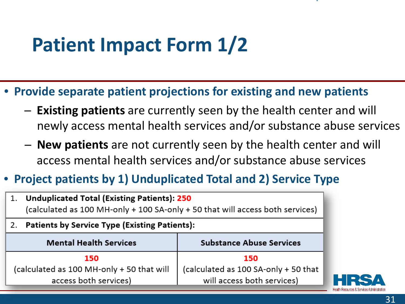## **Patient Impact Form 1/2**

- **Provide separate patient projections for existing and new patients**
	- ⁃ **Existing patients** are currently seen by the health center and will newly access mental health services and/or substance abuse services
	- ⁃ **New patients** are not currently seen by the health center and will access mental health services and/or substance abuse services

#### • **Project patients by 1) Unduplicated Total and 2) Service Type**

| <b>Unduplicated Total (Existing Patients): 250</b><br>1.<br>(calculated as 100 MH-only + 100 SA-only + 50 that will access both services) |                                      |  |  |
|-------------------------------------------------------------------------------------------------------------------------------------------|--------------------------------------|--|--|
| <b>Patients by Service Type (Existing Patients):</b><br>2.                                                                                |                                      |  |  |
| <b>Mental Health Services</b>                                                                                                             | <b>Substance Abuse Services</b>      |  |  |
| 150                                                                                                                                       | 150                                  |  |  |
| (calculated as 100 MH-only + 50 that will                                                                                                 | (calculated as 100 SA-only + 50 that |  |  |
| will access both services)<br>access both services)                                                                                       |                                      |  |  |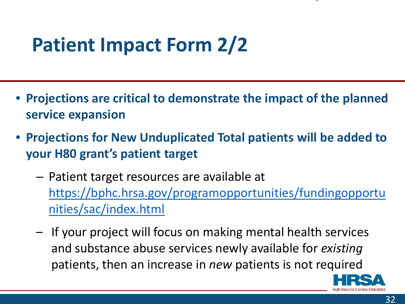## **Patient Impact Form 2/2**

- **Projections are critical to demonstrate the impact of the planned service expansion**
- **Projections for New Unduplicated Total patients will be added to your H80 grant's patient target**
	- ⁃ Patient target resources are available at [https://bphc.hrsa.gov/programopportunities/fundingopportu](https://bphc.hrsa.gov/programopportunities/fundingopportunities/sac/index.html) nities/sac/index.html
	- If your project will focus on making mental health services and substance abuse services newly available for *existing* patients, then an increase in *new* patients is not required

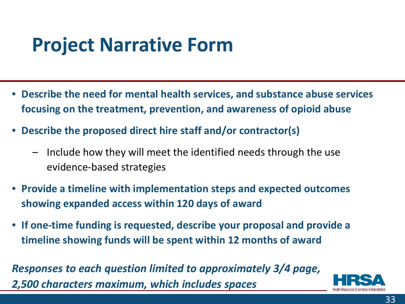### **Project Narrative Form**

- **Describe the need for mental health services, and substance abuse services focusing on the treatment, prevention, and awareness of opioid abuse**
- **Describe the proposed direct hire staff and/or contractor(s)**
	- Include how they will meet the identified needs through the use evidence-based strategies
- **Provide a timeline with implementation steps and expected outcomes showing expanded access within 120 days of award**
- **If one-time funding is requested, describe your proposal and provide a timeline showing funds will be spent within 12 months of award**

*Responses to each question limited to approximately 3/4 page, 2,500 characters maximum, which includes spaces*

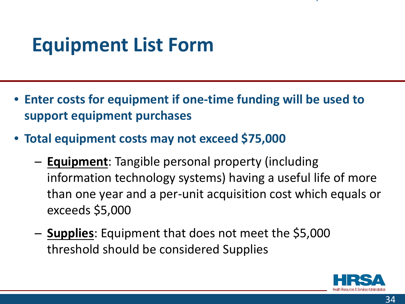# **Equipment List Form**

- **Enter costs for equipment if one-time funding will be used to support equipment purchases**
- **Total equipment costs may not exceed \$75,000**
	- ⁃ **Equipment**: Tangible personal property (including information technology systems) having a useful life of more than one year and a per-unit acquisition cost which equals or exceeds \$5,000
	- ⁃ **Supplies**: Equipment that does not meet the \$5,000 threshold should be considered Supplies

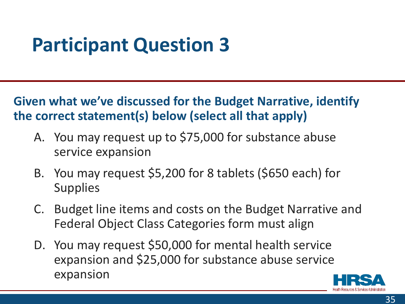## **Participant Question 3**

**Given what we've discussed for the Budget Narrative, identify the correct statement(s) below (select all that apply)** 

- A. You may request up to \$75,000 for substance abuse service expansion
- B. You may request \$5,200 for 8 tablets (\$650 each) for **Supplies**
- C. Budget line items and costs on the Budget Narrative and Federal Object Class Categories form must align
- D. You may request \$50,000 for mental health service expansion and \$25,000 for substance abuse service expansion

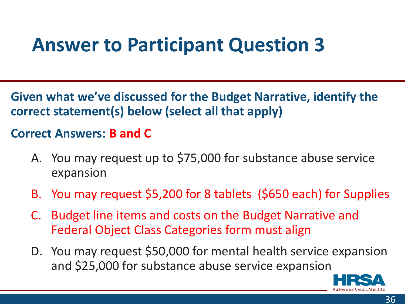### **Answer to Participant Question 3**

**Given what we've discussed for the Budget Narrative, identify the correct statement(s) below (select all that apply)** 

#### **Correct Answers: B and C**

- A. You may request up to \$75,000 for substance abuse service expansion
- B. You may request \$5,200 for 8 tablets (\$650 each) for Supplies
- C. Budget line items and costs on the Budget Narrative and Federal Object Class Categories form must align
- D. You may request \$50,000 for mental health service expansion and \$25,000 for substance abuse service expansion

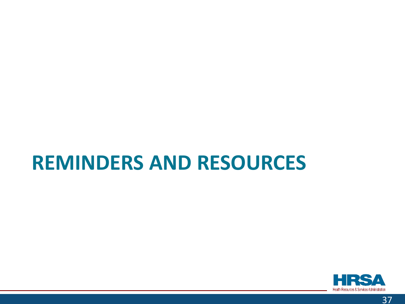### **REMINDERS AND RESOURCES**

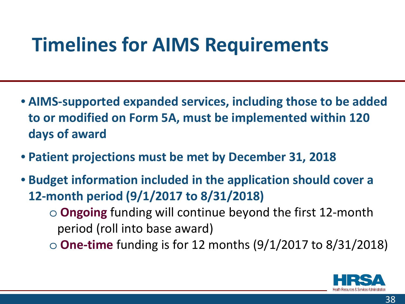### **Timelines for AIMS Requirements**

- **AIMS-supported expanded services, including those to be added to or modified on Form 5A, must be implemented within 120 days of award**
- **Patient projections must be met by December 31, 2018**
- **Budget information included in the application should cover a 12-month period (9/1/2017 to 8/31/2018)** o **Ongoing** funding will continue beyond the first 12-month period (roll into base award)
	- o **One-time** funding is for 12 months (9/1/2017 to 8/31/2018)

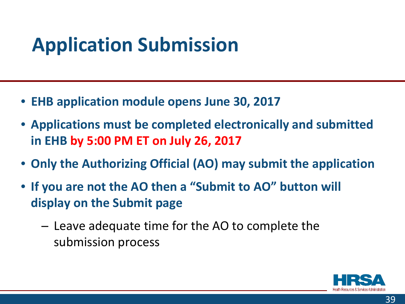# **Application Submission**

- **EHB application module opens June 30, 2017**
- **Applications must be completed electronically and submitted in EHB by 5:00 PM ET on July 26, 2017**
- **Only the Authorizing Official (AO) may submit the application**
- **If you are not the AO then a "Submit to AO" button will display on the Submit page**
	- Leave adequate time for the AO to complete the submission process

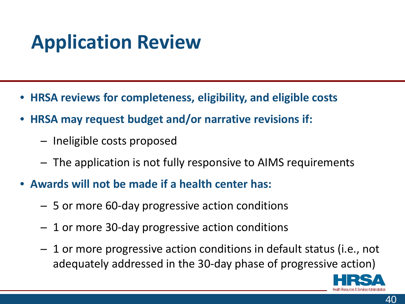# **Application Review**

- **HRSA reviews for completeness, eligibility, and eligible costs**
- **HRSA may request budget and/or narrative revisions if:**
	- ⁃ Ineligible costs proposed
	- ⁃ The application is not fully responsive to AIMS requirements
- **Awards will not be made if a health center has:**
	- ⁃ 5 or more 60-day progressive action conditions
	- ⁃ 1 or more 30-day progressive action conditions
	- 1 or more progressive action conditions in default status (i.e., not adequately addressed in the 30-day phase of progressive action)

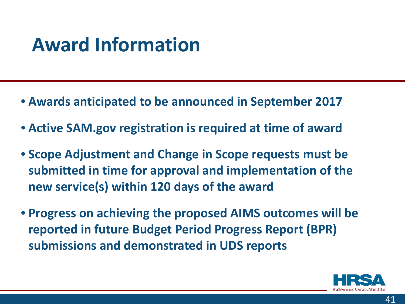### **Award Information**

- **Awards anticipated to be announced in September 2017**
- **Active SAM.gov registration is required at time of award**
- **Scope Adjustment and Change in Scope requests must be submitted in time for approval and implementation of the new service(s) within 120 days of the award**
- **Progress on achieving the proposed AIMS outcomes will be reported in future Budget Period Progress Report (BPR) submissions and demonstrated in UDS reports**

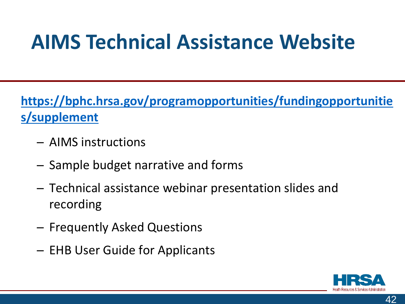# **AIMS Technical Assistance Website**

**[https://bphc.hrsa.gov/programopportunities/fundingopportunitie](https://bphc.hrsa.gov/programopportunities/fundingopportunities/supplement)  s/supplement** 

- ⁃ AIMS instructions
- ⁃ Sample budget narrative and forms
- Technical assistance webinar presentation slides and recording
- ⁃ Frequently Asked Questions
- ⁃ EHB User Guide for Applicants



42